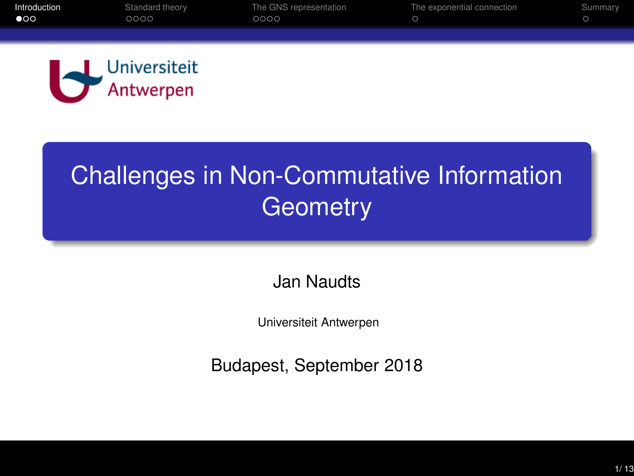<span id="page-0-0"></span>

## Challenges in Non-Commutative Information **Geometry**

### Jan Naudts

Universiteit Antwerpen

Budapest, September 2018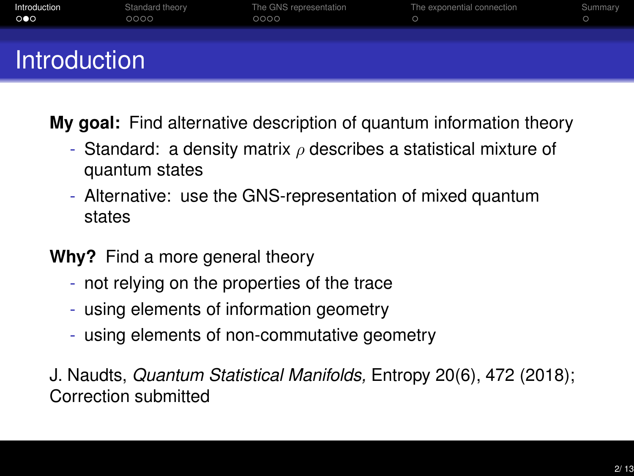| Introduction<br>$\circ \bullet \circ$ | Standard theory<br>0000 | The GNS representation<br>0000 | The exponential connection | Summary |
|---------------------------------------|-------------------------|--------------------------------|----------------------------|---------|
| <b>Introduction</b>                   |                         |                                |                            |         |

**My goal:** Find alternative description of quantum information theory

- Standard: a density matrix  $\rho$  describes a statistical mixture of quantum states
- Alternative: use the GNS-representation of mixed quantum states
- **Why?** Find a more general theory
	- not relying on the properties of the trace
	- using elements of information geometry
	- using elements of non-commutative geometry

J. Naudts, *Quantum Statistical Manifolds,* Entropy 20(6), 472 (2018); Correction submitted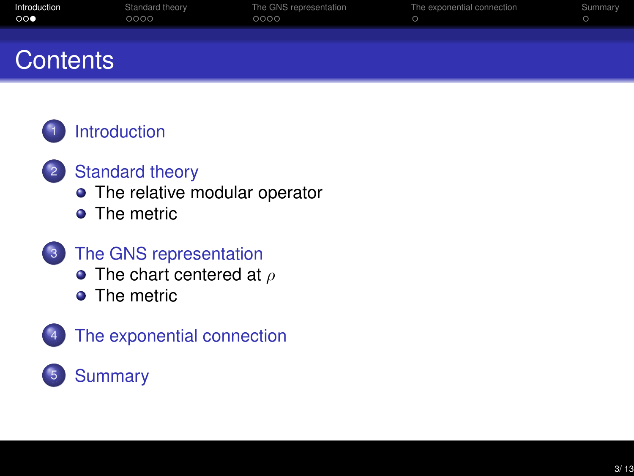| Introduction<br>$\circ \circ \bullet$ | Standard theory<br>0000 | The GNS representation<br>0000 | The exponential connection | Summary |  |  |
|---------------------------------------|-------------------------|--------------------------------|----------------------------|---------|--|--|
| Contents                              |                         |                                |                            |         |  |  |

### **[Introduction](#page-0-0)**

#### <sup>2</sup> [Standard theory](#page-3-0)

- [The relative modular operator](#page-4-0)
- [The metric](#page-5-0)
- 3 [The GNS representation](#page-7-0)
	- [The chart centered at](#page-9-0)  $\rho$
	- **o** [The metric](#page-10-0)



### 4 [The exponential connection](#page-11-0)

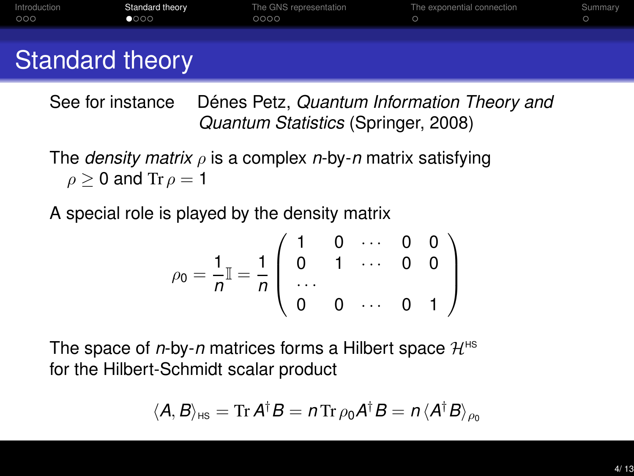<span id="page-3-0"></span>

| Introduction<br>000 | Standard theory<br>0000 | The GNS representation<br>0000 | The exponential connection | Summary |
|---------------------|-------------------------|--------------------------------|----------------------------|---------|
|                     |                         |                                |                            |         |

### Standard theory

See for instance Dénes Petz, *Quantum Information Theory and Quantum Statistics* (Springer, 2008)

The *density matrix* ρ is a complex *n*-by-*n* matrix satisfying  $\rho \geq 0$  and Tr  $\rho = 1$ 

A special role is played by the density matrix

$$
\rho_0 = \frac{1}{n} \mathbb{I} = \frac{1}{n} \left( \begin{array}{cccc} 1 & 0 & \cdots & 0 & 0 \\ 0 & 1 & \cdots & 0 & 0 \\ \cdots & & & & \\ 0 & 0 & \cdots & 0 & 1 \end{array} \right)
$$

The space of *n*-by-*n* matrices forms a Hilbert space  $\mathcal{H}^{\text{HS}}$ for the Hilbert-Schmidt scalar product

$$
\langle A, B \rangle_{HS} = \mathrm{Tr} \, A^{\dagger} B = n \, \mathrm{Tr} \, \rho_0 A^{\dagger} B = n \, \langle A^{\dagger} B \rangle_{\rho_0}
$$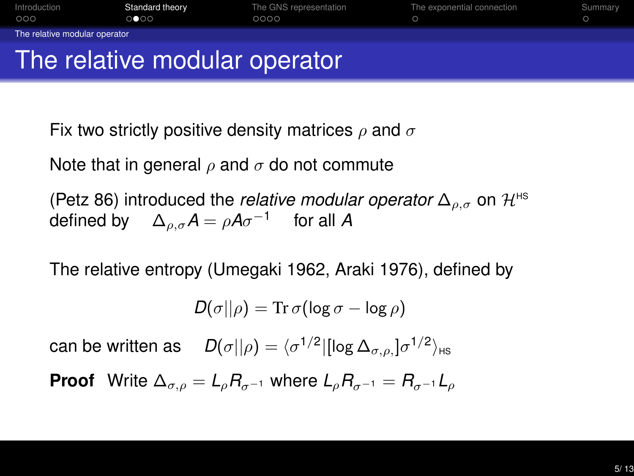<span id="page-4-0"></span>

Fix two strictly positive density matrices  $\rho$  and  $\sigma$ 

Note that in general  $\rho$  and  $\sigma$  do not commute

(Petz 86) introduced the *relative modular operator*  $\Delta_{\rho,\sigma}$  on  $\mathcal{H}^{\text{HS}}$ defined by  $\quad \Delta_{\rho,\sigma}{\cal A}=\rho{\cal A}\sigma^{-1} \quad \text{ for all } {\cal A}$ 

The relative entropy (Umegaki 1962, Araki 1976), defined by

$$
D(\sigma||\rho) = \mathrm{Tr}\,\sigma(\log\sigma - \log\rho)
$$

can be written as  $D(\sigma||\rho) = \langle \sigma^{1/2} | [\log \Delta_{\sigma,\rho} ] \sigma^{1/2} \rangle_{\text{HS}}$ 

**Proof** Write  $\Delta_{\sigma,0} = L_0 R_{\sigma-1}$  where  $L_0 R_{\sigma-1} = R_{\sigma-1} L_0$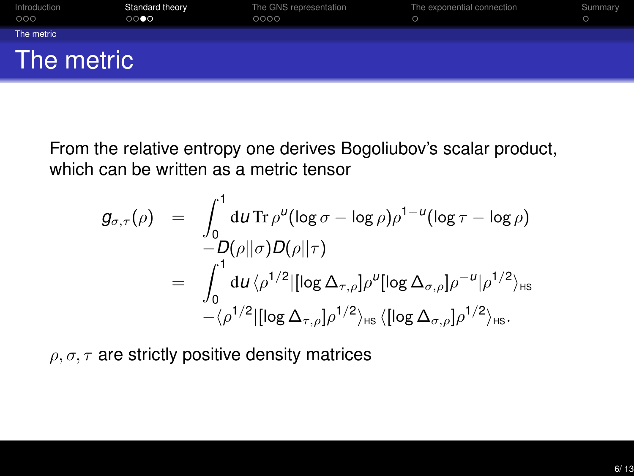<span id="page-5-0"></span>

| Introduction<br>000 | Standard theory<br>$\circ\bullet\bullet\bullet$ | The GNS representation<br>0000 | The exponential connection | Summary |
|---------------------|-------------------------------------------------|--------------------------------|----------------------------|---------|
| The metric          |                                                 |                                |                            |         |
| The metric          |                                                 |                                |                            |         |

From the relative entropy one derives Bogoliubov's scalar product, which can be written as a metric tensor

$$
g_{\sigma,\tau}(\rho) = \int_0^1 du \operatorname{Tr} \rho^u(\log \sigma - \log \rho) \rho^{1-u}(\log \tau - \log \rho)
$$
  
-D(\rho||\sigma)D(\rho||\tau)  
= 
$$
\int_0^1 du \langle \rho^{1/2} |[\log \Delta_{\tau,\rho}] \rho^u [\log \Delta_{\sigma,\rho}] \rho^{-u} |\rho^{1/2}\rangle_{HS}
$$
  
-
$$
\langle \rho^{1/2} |[\log \Delta_{\tau,\rho}] \rho^{1/2}\rangle_{HS} \langle [\log \Delta_{\sigma,\rho}] \rho^{1/2}\rangle_{HS}.
$$

 $\rho, \sigma, \tau$  are strictly positive density matrices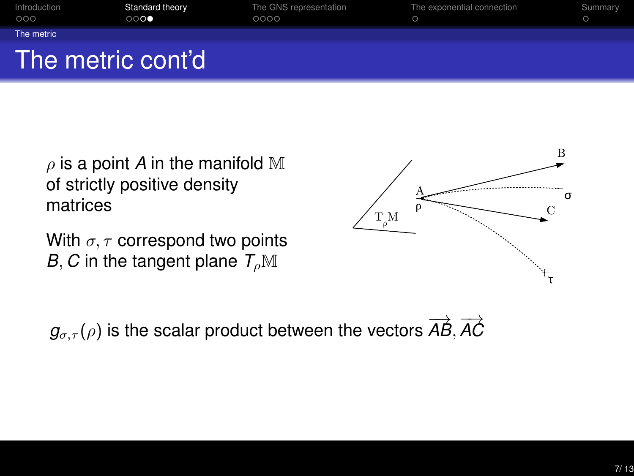| Introduction<br>000 | Standard theory<br>$\circ\circ\bullet$ | The GNS representation<br>0000 | The exponential connection | Summary |
|---------------------|----------------------------------------|--------------------------------|----------------------------|---------|
| The metric          |                                        |                                |                            |         |
|                     | The metric cont'd                      |                                |                            |         |

 $\rho$  is a point A in the manifold M of strictly positive density matrices

With  $\sigma, \tau$  correspond two points *B*, *C* in the tangent plane  $T_{\rho}M$ 

 $g_{\sigma,\tau}(\rho)$  is the scalar product between the vectors  $\overrightarrow{AB},\overrightarrow{AC}$ 

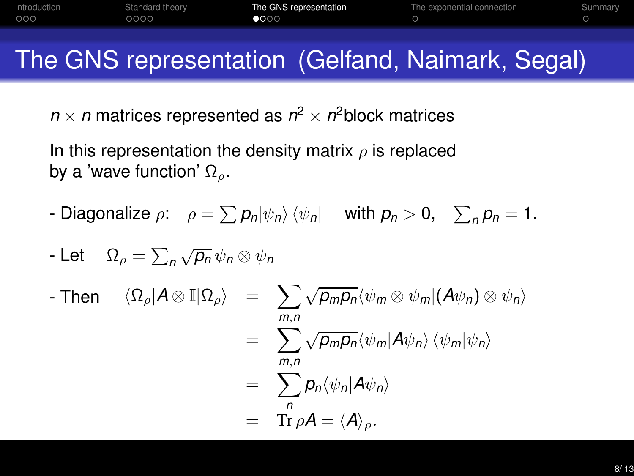# The GNS representation (Gelfand, Naimark, Segal)

<span id="page-7-0"></span>[Introduction](#page-0-0) [Standard theory](#page-3-0) [The GNS representation](#page-7-0) [The exponential connection](#page-11-0) [Summary](#page-12-0)

 $\circ$ 

 $n \times n$  matrices represented as  $n^2 \times n^2$ block matrices

 $\bullet$ 000

 $000$ 

 $0000$ 

In this representation the density matrix  $\rho$  is replaced by a 'wave function'  $\Omega$ <sub>ρ</sub>.

- Diagonalize  $\rho$ :  $\rho = \sum p_n |\psi_n\rangle \langle \psi_n|$  with  $p_n > 0$ ,  $\sum_n p_n = 1$ .

- Let 
$$
\Omega_{\rho} = \sum_{n} \sqrt{p_{n}} \psi_{n} \otimes \psi_{n}
$$
  
\n- Then  $\langle \Omega_{\rho} | A \otimes \mathbb{I} | \Omega_{\rho} \rangle = \sum_{m,n} \sqrt{p_{m}p_{n}} \langle \psi_{m} \otimes \psi_{m} | (A\psi_{n}) \otimes \psi_{n} \rangle$   
\n $= \sum_{m,n} \sqrt{p_{m}p_{n}} \langle \psi_{m} | A\psi_{n} \rangle \langle \psi_{m} | \psi_{n} \rangle$   
\n $= \sum_{n} p_{n} \langle \psi_{n} | A\psi_{n} \rangle$   
\n $= \text{Tr } \rho A = \langle A \rangle_{\rho}.$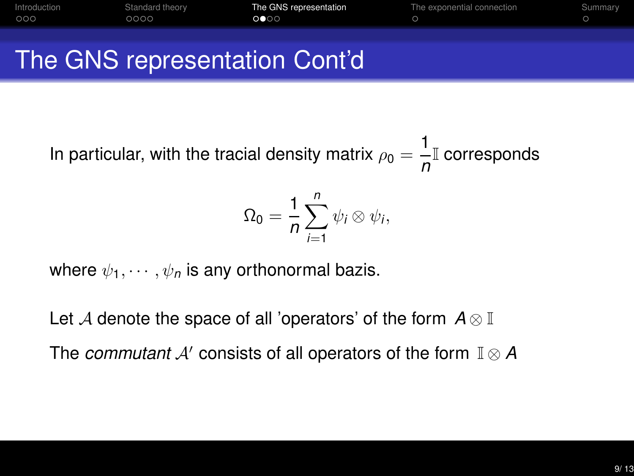

In particular, with the tracial density matrix  $\rho_0 = \frac{1}{2}$ <mark>⊥</mark>I corresponds

$$
\Omega_0=\frac{1}{n}\sum_{i=1}^n\psi_i\otimes\psi_i,
$$

where  $\psi_1, \cdots, \psi_n$  is any orthonormal bazis.

Let <sup>A</sup> denote the space of all 'operators' of the form *<sup>A</sup>* <sup>⊗</sup> <sup>I</sup> The *commutant* <sup>A</sup>′ consists of all operators of the form <sup>I</sup> <sup>⊗</sup> *<sup>A</sup>*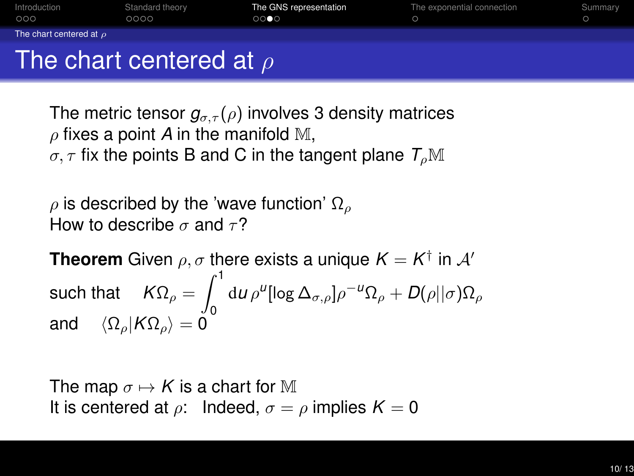<span id="page-9-0"></span>

| Introduction<br>000          | Standard theory<br>0000 | The GNS representation<br>0000 | The exponential connection | Summary |  |  |  |
|------------------------------|-------------------------|--------------------------------|----------------------------|---------|--|--|--|
| The chart centered at $\rho$ |                         |                                |                            |         |  |  |  |
| The chart centered at $\rho$ |                         |                                |                            |         |  |  |  |

The metric tensor  $g_{\sigma,\tau}(\rho)$  involves 3 density matrices  $\rho$  fixes a point A in the manifold M,  $\sigma, \tau$  fix the points B and C in the tangent plane  $T_o\mathbb{M}$ 

 $ρ$  is described by the 'wave function'  $Ω<sub>ρ</sub>$ How to describe  $\sigma$  and  $\tau$ ?

**Theorem** Given  $\rho, \sigma$  there exists a unique  $K = K^{\dagger}$  in  $\mathcal{A}'$ such that  $\quad$   $K\Omega_\rho=\int^1$ 0  ${\rm d}$ *u*  $\rho^{\mu}[{\rm log}\,\Delta_{\sigma,\rho}]\rho^{-\mu}{\Omega}_\rho + D(\rho||\sigma){\Omega}_\rho$ and  $\langle \Omega_{\rho} | K \Omega_{\rho} \rangle = 0$ 

The map  $\sigma \mapsto K$  is a chart for M It is centered at  $\rho$ : Indeed,  $\sigma = \rho$  implies  $K = 0$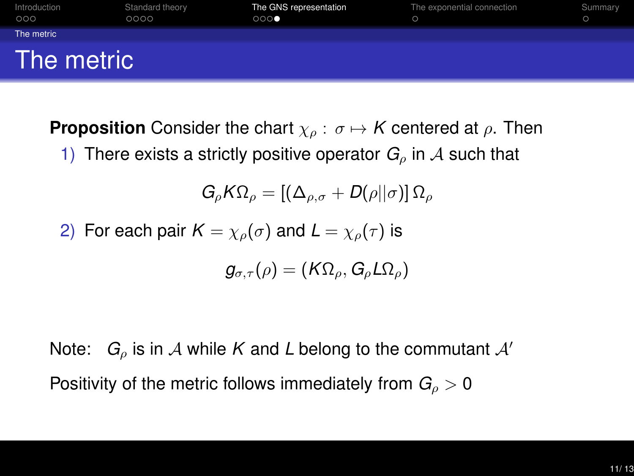<span id="page-10-0"></span>

**Proposition** Consider the chart  $\chi_{\rho}: \sigma \mapsto K$  centered at  $\rho$ . Then

1) There exists a strictly positive operator  $G_{\rho}$  in A such that

$$
G_{\rho}K\Omega_{\rho}=\left[\left(\Delta_{\rho,\sigma}+D(\rho||\sigma)\right]\Omega_{\rho}\right]
$$

2) For each pair 
$$
K = \chi_{\rho}(\sigma)
$$
 and  $L = \chi_{\rho}(\tau)$  is

$$
g_{\sigma,\tau}(\rho)=(K\Omega_\rho,G_\rho L\Omega_\rho)
$$

Note:  $G_{\rho}$  is in A while K and L belong to the commutant  $A'$ Positivity of the metric follows immediately from  $G<sub>0</sub> > 0$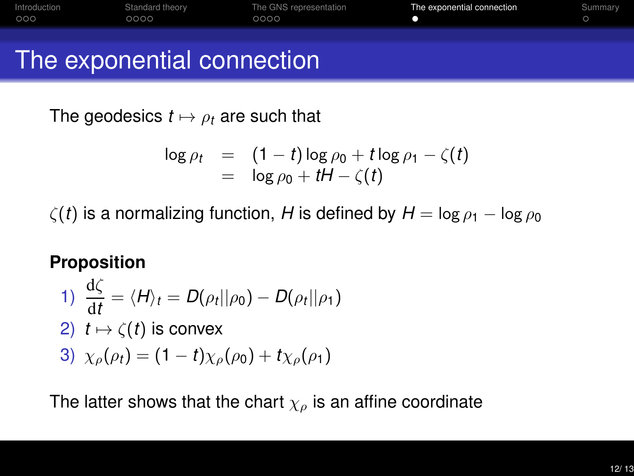<span id="page-11-0"></span>

The geodesics  $t \mapsto \rho_t$  are such that

$$
\log \rho_t = (1-t) \log \rho_0 + t \log \rho_1 - \zeta(t)
$$
  
=  $\log \rho_0 + tH - \zeta(t)$ 

 $\zeta(t)$  is a normalizing function, *H* is defined by  $H = \log \rho_1 - \log \rho_0$ 

#### **Proposition**

1) 
$$
\frac{\mathrm{d}\zeta}{\mathrm{d}t} = \langle H \rangle_t = D(\rho_t || \rho_0) - D(\rho_t || \rho_1)
$$

- 2)  $t \mapsto \zeta(t)$  is convex
- 3)  $\chi_o(\rho_t) = (1-t)\chi_o(\rho_0) + t\chi_o(\rho_1)$

The latter shows that the chart  $\chi_{\rho}$  is an affine coordinate